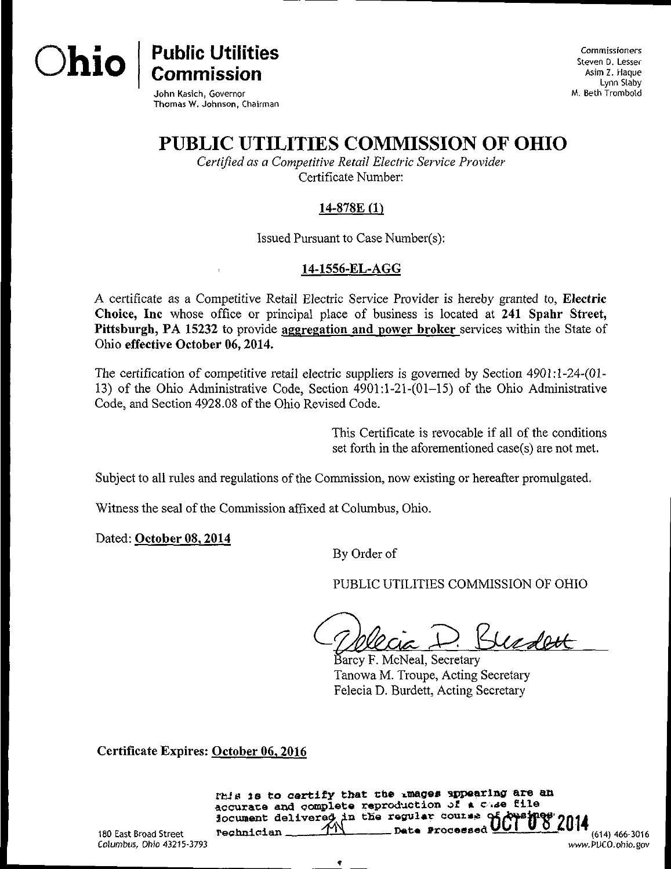

Commissioners Steven D. Lesser Asim Z. Haque Lynn Slaby M. Beth Trombold

[wmv.PUCO.ohio.gov](http://wmv.PUCO.ohio.gov) 

John Kasich, Governor Thomas W. Johnson, Chairman

Commission

# PUBLIC UTILITIES COMMISSION OF OHIO

Certified as a Competitive Retail Electric Service Provider Certificate Number:

# $14-878E(1)$

Issued Pursuant to Case Number(s);

## 14-1556-EL-AGG

A certificate as a Competitive Retail Electric Service Provider is hereby granted to, Electric Choice, Inc whose office or principal place of business is located at 241 Spahr Street, Pittsburgh, PA 15232 to provide aggregation and power broker services within the State of Ohio effective October 06,2014.

The certification of competitive retail electric suppliers is governed by Section 490I:l-24-(01- 13) of the Ohio Administrative Code, Section 4901:1-21-(01-15) of the Ohio Administrative Code, and Section 4928.08 of the Ohio Revised Code.

> This Certificate is revocable if all of the conditions set forth in the aforementioned case(s) are not met.

Subject to all rules and regulations of the Commission, now existing or hereafter promulgated.

Witness the seal of the Commission affixed at Columbus, Ohio.

Dated: October 08,2014

By Order of

PUBLIC UTILITIES COMMISSION OF OHIO

Budett

Barcy F. McNeal, Secretary Tanowa M. Troupe, Acting Secretary Felecia D. Burdett, Acting Secretary

Certificate Expires: October 06, 2016

m is 18 to certify that che images appearing are an accurate and complete reproduction of a case file iocument delivered in the regular coutse of Apsings' onis rechnician  $T_1$   $T_2$  Date Processed  $T_1$   $T_2$   $T_3$   $T_4$   $T_5$   $T_6$   $T_7$   $T_6$   $T_7$   $T_6$   $T_7$   $T_7$   $T_8$   $T_8$   $T_8$   $T_9$   $T_8$   $T_9$   $T_8$   $T_9$   $T_8$   $T_9$   $T_9$   $T_8$   $T_9$   $T_9$   $T_8$   $T_9$   $T_9$   $T_9$   $T_$ 

180 East Broad Street Columbus, Ohio 43215-3793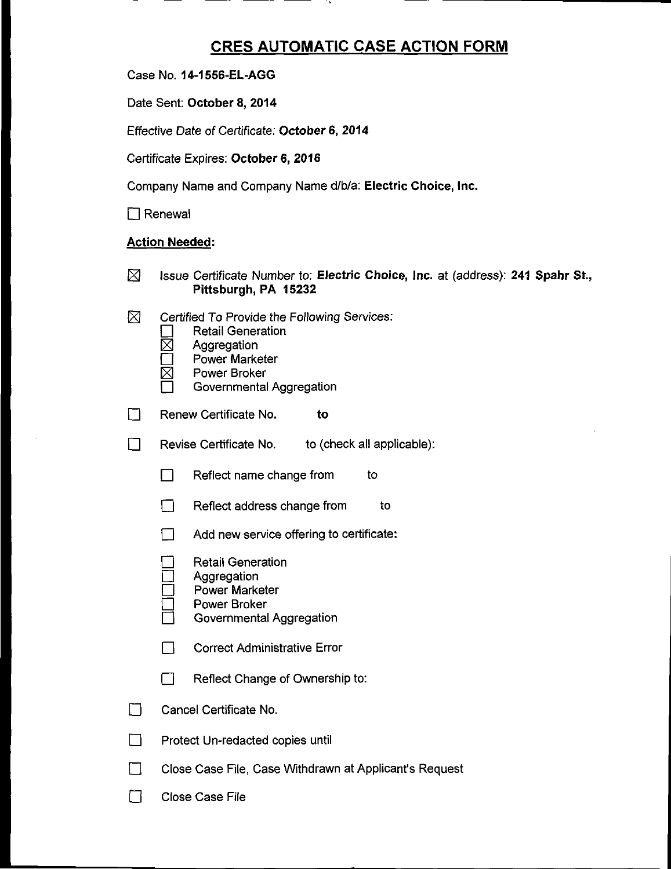# CRES AUTOMATIC CASE ACTION FORM

Case No. 14-1556-EL-AGG

Date Sent: October 8, 2014

Effective Date of Certificate: October 6, 2014

Certificate Expires: October 6, 2016

Company Name and Company Name d/b/a: Electric Choice, Inc.

 $\Box$  Renewal

#### Action Needed:

- $\boxtimes$  Issue Certificate Number to: Electric Choice, Inc. at (address): 241 Spahr St., Pittsburgh, PA 15232
- $\boxtimes$  Certified To Provide the Following Services:
	- **Retail Generation**
	- **Aggregation**
	- Power Marketer
	- Power Broker
	- Governmental Aggregation
- $\Box$  Renew Certificate No.  $\Box$  to
- E Revise Certificate No. to (check all applicable):
	- $\Box$  Reflect name change from to
	- **D** Reflect address change from to
	- $\Box$  Add new service offering to certificate:
		- **Retail Generation**
		- Aggregation
	- Power Marketer
	- Power Broker
		- Governmental Aggregation
	- **D** Correct Administrative Error
	- $\Box$  Reflect Change of Ownership to:
- **THE Cancel Certificate No.**
- **D** Protect Un-redacted copies until
- **Close Case File, Case Withdrawn at Applicant's Request**
- **Close Case File**